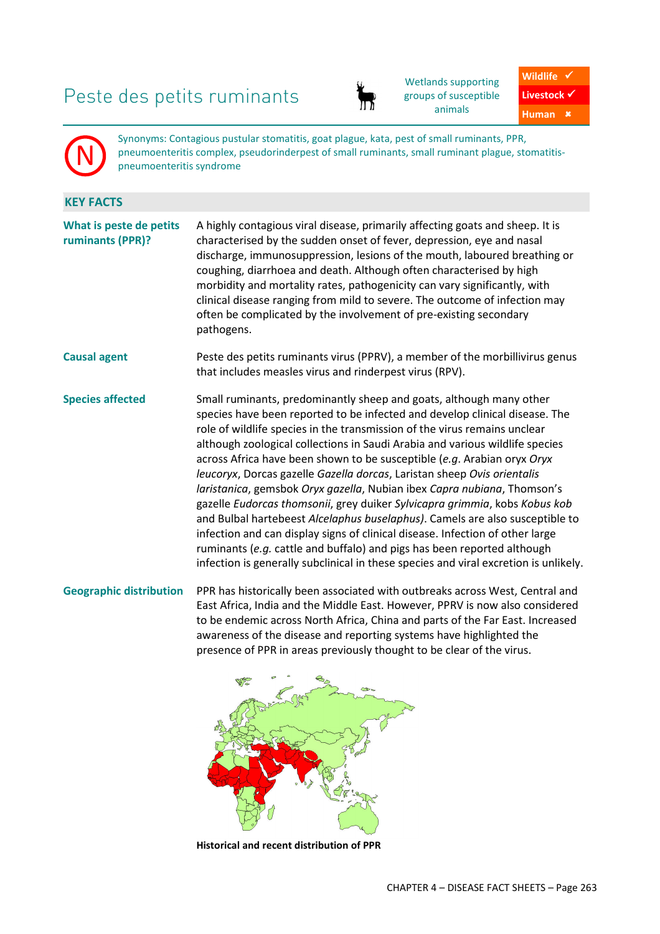# Peste des petits ruminants



Wetlands supporting groups of susceptible animals

Wildlife  $\checkmark$ Livestock  $\checkmark$ 

**Human**

N

Synonyms: Contagious pustular stomatitis, goat plague, kata, pest of small ruminants, PPR, pneumoenteritis complex, pseudorinderpest of small ruminants, small ruminant plague, stomatitispneumoenteritis syndrome

## **KEY FACTS**

**What is peste de petits ruminants (PPR)?**  A highly contagious viral disease, primarily affecting goats and sheep. It is characterised by the sudden onset of fever, depression, eye and nasal discharge, immunosuppression, lesions of the mouth, laboured breathing or coughing, diarrhoea and death. Although often characterised by high morbidity and mortality rates, pathogenicity can vary significantly, with clinical disease ranging from mild to severe. The outcome of infection may often be complicated by the involvement of pre-existing secondary pathogens. **Causal agent** Peste des petits ruminants virus (PPRV), a member of the morbillivirus genus that includes measles virus and rinderpest virus (RPV). **Species affected** Small ruminants, predominantly sheep and goats, although many other species have been reported to be infected and develop clinical disease. The role of wildlife species in the transmission of the virus remains unclear although zoological collections in Saudi Arabia and various wildlife species across Africa have been shown to be susceptible (*e.g*. Arabian oryx *Oryx leucoryx*, Dorcas gazelle *Gazella dorcas*, Laristan sheep *Ovis orientalis laristanica*, gemsbok *Oryx gazella*, Nubian ibex *Capra nubiana*, Thomson's gazelle *Eudorcas thomsonii*, grey duiker *Sylvicapra grimmia*, kobs *Kobus kob* and Bulbal hartebeest *Alcelaphus buselaphus)*. Camels are also susceptible to infection and can display signs of clinical disease. Infection of other large ruminants (*e.g.* cattle and buffalo) and pigs has been reported although

**Geographic distribution** PPR has historically been associated with outbreaks across West, Central and East Africa, India and the Middle East. However, PPRV is now also considered to be endemic across North Africa, China and parts of the Far East. Increased awareness of the disease and reporting systems have highlighted the presence of PPR in areas previously thought to be clear of the virus.

infection is generally subclinical in these species and viral excretion is unlikely.



**Historical and recent distribution of PPR**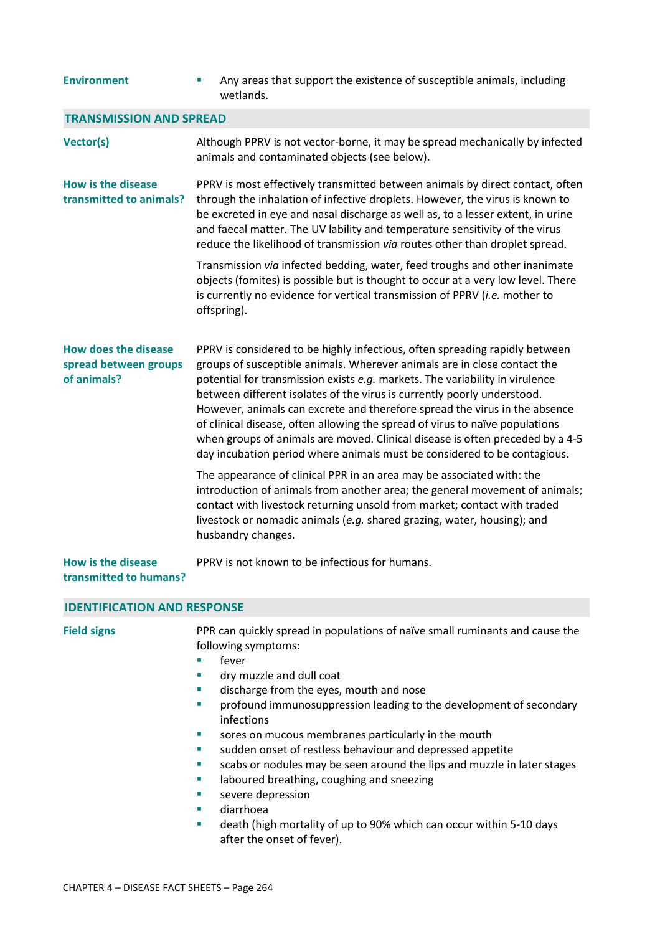| <b>Environment</b>                                                  | Any areas that support the existence of susceptible animals, including<br>wetlands.                                                                                                                                                                                                                                                                                                                                                                                                                                                                                                                                                           |  |
|---------------------------------------------------------------------|-----------------------------------------------------------------------------------------------------------------------------------------------------------------------------------------------------------------------------------------------------------------------------------------------------------------------------------------------------------------------------------------------------------------------------------------------------------------------------------------------------------------------------------------------------------------------------------------------------------------------------------------------|--|
| <b>TRANSMISSION AND SPREAD</b>                                      |                                                                                                                                                                                                                                                                                                                                                                                                                                                                                                                                                                                                                                               |  |
| <b>Vector(s)</b>                                                    | Although PPRV is not vector-borne, it may be spread mechanically by infected<br>animals and contaminated objects (see below).                                                                                                                                                                                                                                                                                                                                                                                                                                                                                                                 |  |
| <b>How is the disease</b><br>transmitted to animals?                | PPRV is most effectively transmitted between animals by direct contact, often<br>through the inhalation of infective droplets. However, the virus is known to<br>be excreted in eye and nasal discharge as well as, to a lesser extent, in urine<br>and faecal matter. The UV lability and temperature sensitivity of the virus<br>reduce the likelihood of transmission via routes other than droplet spread.                                                                                                                                                                                                                                |  |
|                                                                     | Transmission via infected bedding, water, feed troughs and other inanimate<br>objects (fomites) is possible but is thought to occur at a very low level. There<br>is currently no evidence for vertical transmission of PPRV (i.e. mother to<br>offspring).                                                                                                                                                                                                                                                                                                                                                                                   |  |
| <b>How does the disease</b><br>spread between groups<br>of animals? | PPRV is considered to be highly infectious, often spreading rapidly between<br>groups of susceptible animals. Wherever animals are in close contact the<br>potential for transmission exists e.g. markets. The variability in virulence<br>between different isolates of the virus is currently poorly understood.<br>However, animals can excrete and therefore spread the virus in the absence<br>of clinical disease, often allowing the spread of virus to naïve populations<br>when groups of animals are moved. Clinical disease is often preceded by a 4-5<br>day incubation period where animals must be considered to be contagious. |  |
|                                                                     | The appearance of clinical PPR in an area may be associated with: the<br>introduction of animals from another area; the general movement of animals;<br>contact with livestock returning unsold from market; contact with traded<br>livestock or nomadic animals (e.g. shared grazing, water, housing); and<br>husbandry changes.                                                                                                                                                                                                                                                                                                             |  |
| How is the disease<br>transmitted to humans?                        | PPRV is not known to be infectious for humans.                                                                                                                                                                                                                                                                                                                                                                                                                                                                                                                                                                                                |  |
| <b>IDENTIFICATION AND RESPONSE</b>                                  |                                                                                                                                                                                                                                                                                                                                                                                                                                                                                                                                                                                                                                               |  |
| <b>Field signs</b>                                                  | PPR can quickly spread in populations of naïve small ruminants and cause the<br>following symptoms:<br>fever<br>dry muzzle and dull coat<br>discharge from the eyes, mouth and nose<br>ш<br>profound immunosuppression leading to the development of secondary<br>ш<br>infections<br>sores on mucous membranes particularly in the mouth<br>×<br>sudden onset of restless behaviour and depressed appetite<br>a.<br>scabs or nodules may be seen around the lips and muzzle in later stages<br>ш<br>laboured breathing, coughing and sneezing<br>ш<br>severe depression                                                                       |  |

- diarrhoea
- death (high mortality of up to 90% which can occur within 5-10 days after the onset of fever).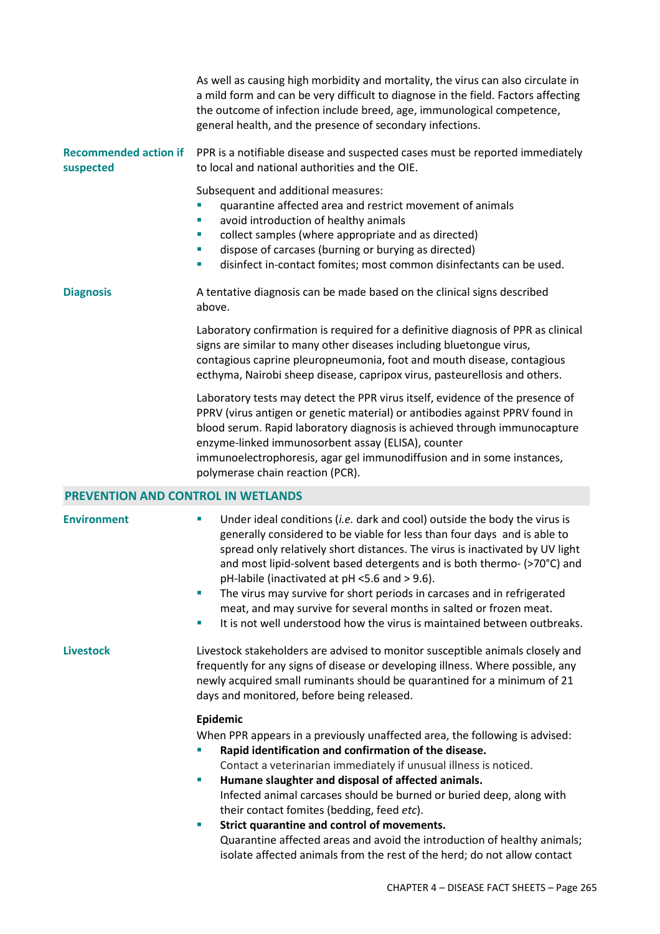As well as causing high morbidity and mortality, the virus can also circulate in a mild form and can be very difficult to diagnose in the field. Factors affecting the outcome of infection include breed, age, immunological competence, general health, and the presence of secondary infections.

**Recommended action if suspected**  PPR is a notifiable disease and suspected cases must be reported immediately to local and national authorities and the OIE.

Subsequent and additional measures:

- quarantine affected area and restrict movement of animals
- **EXECUTE:** avoid introduction of healthy animals
- collect samples (where appropriate and as directed)
- dispose of carcases (burning or burying as directed)
- disinfect in-contact fomites; most common disinfectants can be used.

**Diagnosis** A tentative diagnosis can be made based on the clinical signs described above.

> Laboratory confirmation is required for a definitive diagnosis of PPR as clinical signs are similar to many other diseases including bluetongue virus, contagious caprine pleuropneumonia, foot and mouth disease, contagious ecthyma, Nairobi sheep disease, capripox virus, pasteurellosis and others.

> Laboratory tests may detect the PPR virus itself, evidence of the presence of PPRV (virus antigen or genetic material) or antibodies against PPRV found in blood serum. Rapid laboratory diagnosis is achieved through immunocapture enzyme-linked immunosorbent assay (ELISA), counter immunoelectrophoresis, agar gel immunodiffusion and in some instances, polymerase chain reaction (PCR).

### **PREVENTION AND CONTROL IN WETLANDS**

- **Environment** Under ideal conditions (*i.e.* dark and cool) outside the body the virus is generally considered to be viable for less than four days and is able to spread only relatively short distances. The virus is inactivated by UV light and most lipid-solvent based detergents and is both thermo- (>70°C) and pH-labile (inactivated at pH <5.6 and > 9.6).
	- The virus may survive for short periods in carcases and in refrigerated meat, and may survive for several months in salted or frozen meat.
	- It is not well understood how the virus is maintained between outbreaks.

**Livestock** Livestock stakeholders are advised to monitor susceptible animals closely and frequently for any signs of disease or developing illness. Where possible, any newly acquired small ruminants should be quarantined for a minimum of 21 days and monitored, before being released.

### **Epidemic**

When PPR appears in a previously unaffected area, the following is advised:

- **Rapid identification and confirmation of the disease.** 
	- Contact a veterinarian immediately if unusual illness is noticed.
- **Humane slaughter and disposal of affected animals.**  Infected animal carcases should be burned or buried deep, along with their contact fomites (bedding, feed *etc*).
- **Strict quarantine and control of movements.**  Quarantine affected areas and avoid the introduction of healthy animals; isolate affected animals from the rest of the herd; do not allow contact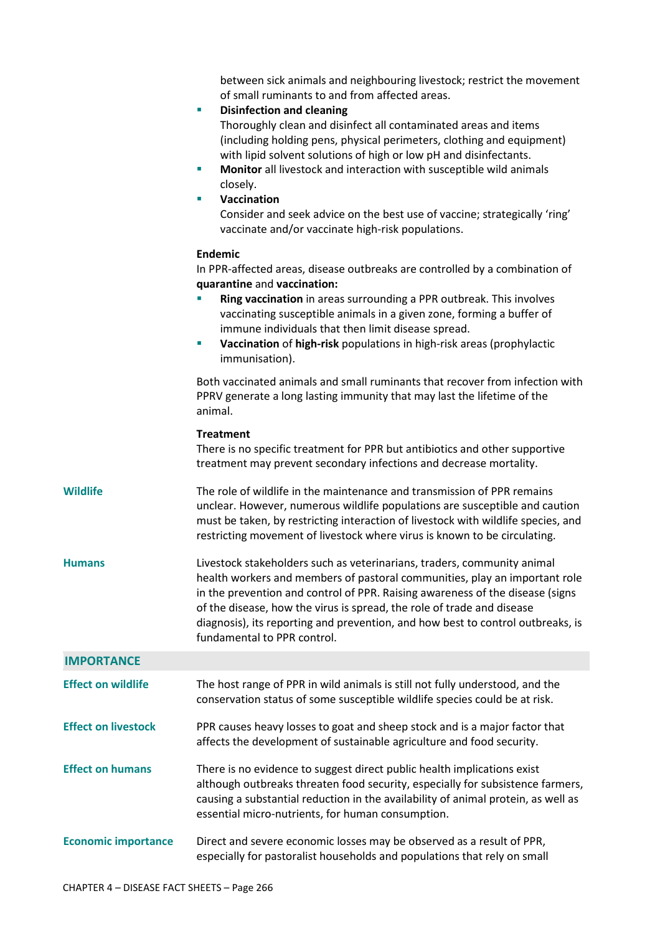between sick animals and neighbouring livestock; restrict the movement of small ruminants to and from affected areas.

|                            | <b>Disinfection and cleaning</b><br>u,<br>Thoroughly clean and disinfect all contaminated areas and items<br>(including holding pens, physical perimeters, clothing and equipment)<br>with lipid solvent solutions of high or low pH and disinfectants.<br>Monitor all livestock and interaction with susceptible wild animals<br>u,<br>closely.<br>Vaccination<br>×<br>Consider and seek advice on the best use of vaccine; strategically 'ring'<br>vaccinate and/or vaccinate high-risk populations. |
|----------------------------|--------------------------------------------------------------------------------------------------------------------------------------------------------------------------------------------------------------------------------------------------------------------------------------------------------------------------------------------------------------------------------------------------------------------------------------------------------------------------------------------------------|
|                            | Endemic<br>In PPR-affected areas, disease outbreaks are controlled by a combination of<br>quarantine and vaccination:<br>Ring vaccination in areas surrounding a PPR outbreak. This involves<br>vaccinating susceptible animals in a given zone, forming a buffer of<br>immune individuals that then limit disease spread.<br>Vaccination of high-risk populations in high-risk areas (prophylactic<br>×<br>immunisation).                                                                             |
|                            | Both vaccinated animals and small ruminants that recover from infection with<br>PPRV generate a long lasting immunity that may last the lifetime of the<br>animal.                                                                                                                                                                                                                                                                                                                                     |
|                            | <b>Treatment</b><br>There is no specific treatment for PPR but antibiotics and other supportive<br>treatment may prevent secondary infections and decrease mortality.                                                                                                                                                                                                                                                                                                                                  |
| <b>Wildlife</b>            | The role of wildlife in the maintenance and transmission of PPR remains<br>unclear. However, numerous wildlife populations are susceptible and caution<br>must be taken, by restricting interaction of livestock with wildlife species, and<br>restricting movement of livestock where virus is known to be circulating.                                                                                                                                                                               |
| <b>Humans</b>              | Livestock stakeholders such as veterinarians, traders, community animal<br>health workers and members of pastoral communities, play an important role<br>in the prevention and control of PPR. Raising awareness of the disease (signs<br>of the disease, how the virus is spread, the role of trade and disease<br>diagnosis), its reporting and prevention, and how best to control outbreaks, is<br>fundamental to PPR control.                                                                     |
| <b>IMPORTANCE</b>          |                                                                                                                                                                                                                                                                                                                                                                                                                                                                                                        |
| <b>Effect on wildlife</b>  | The host range of PPR in wild animals is still not fully understood, and the<br>conservation status of some susceptible wildlife species could be at risk.                                                                                                                                                                                                                                                                                                                                             |
| <b>Effect on livestock</b> | PPR causes heavy losses to goat and sheep stock and is a major factor that<br>affects the development of sustainable agriculture and food security.                                                                                                                                                                                                                                                                                                                                                    |
| <b>Effect on humans</b>    | There is no evidence to suggest direct public health implications exist<br>although outbreaks threaten food security, especially for subsistence farmers,<br>causing a substantial reduction in the availability of animal protein, as well as<br>essential micro-nutrients, for human consumption.                                                                                                                                                                                                    |
| <b>Economic importance</b> | Direct and severe economic losses may be observed as a result of PPR,<br>especially for pastoralist households and populations that rely on small                                                                                                                                                                                                                                                                                                                                                      |